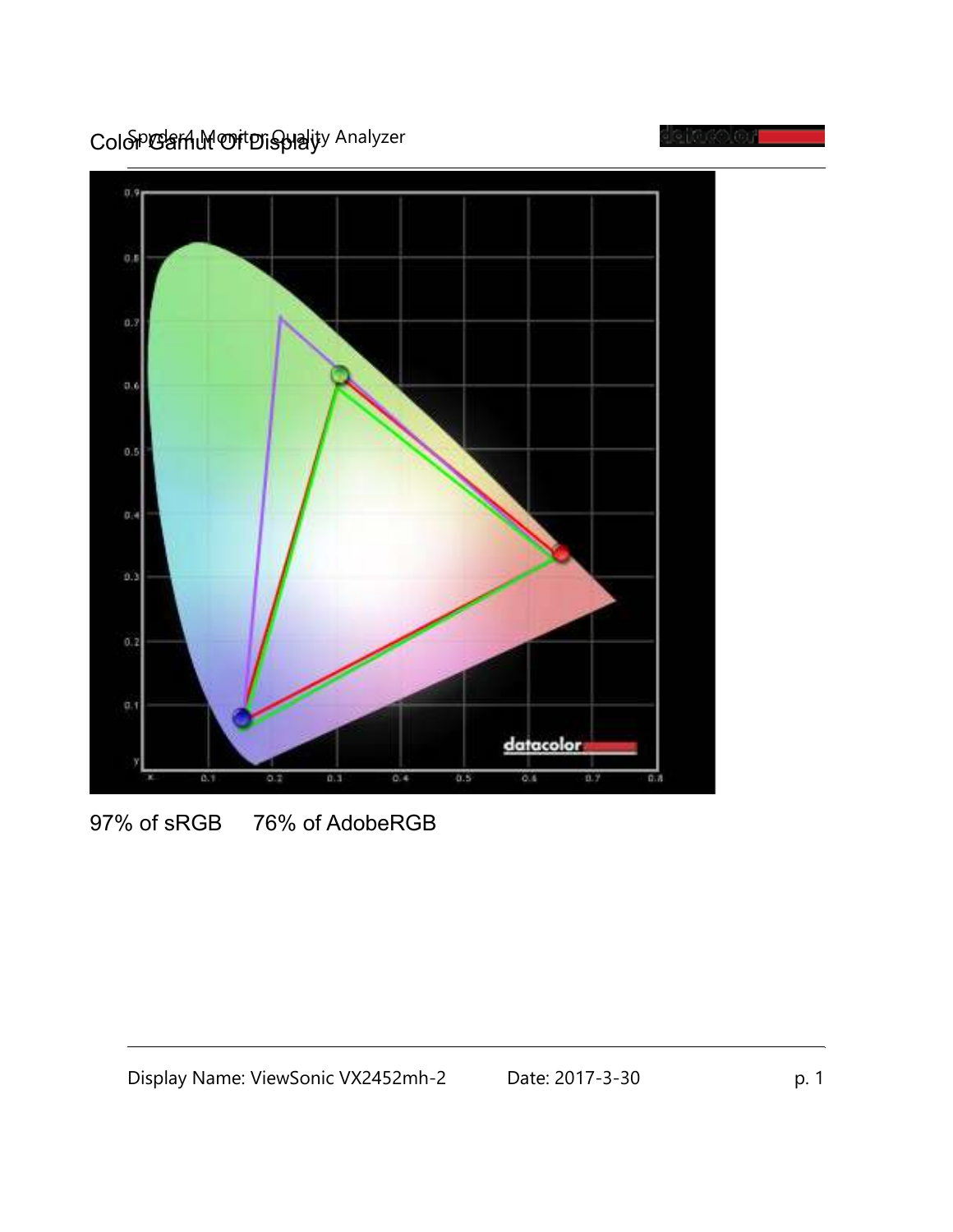ColopGarAM Of Displayy Analyzer





<sup>97%</sup> of sRGB 76% of AdobeRGB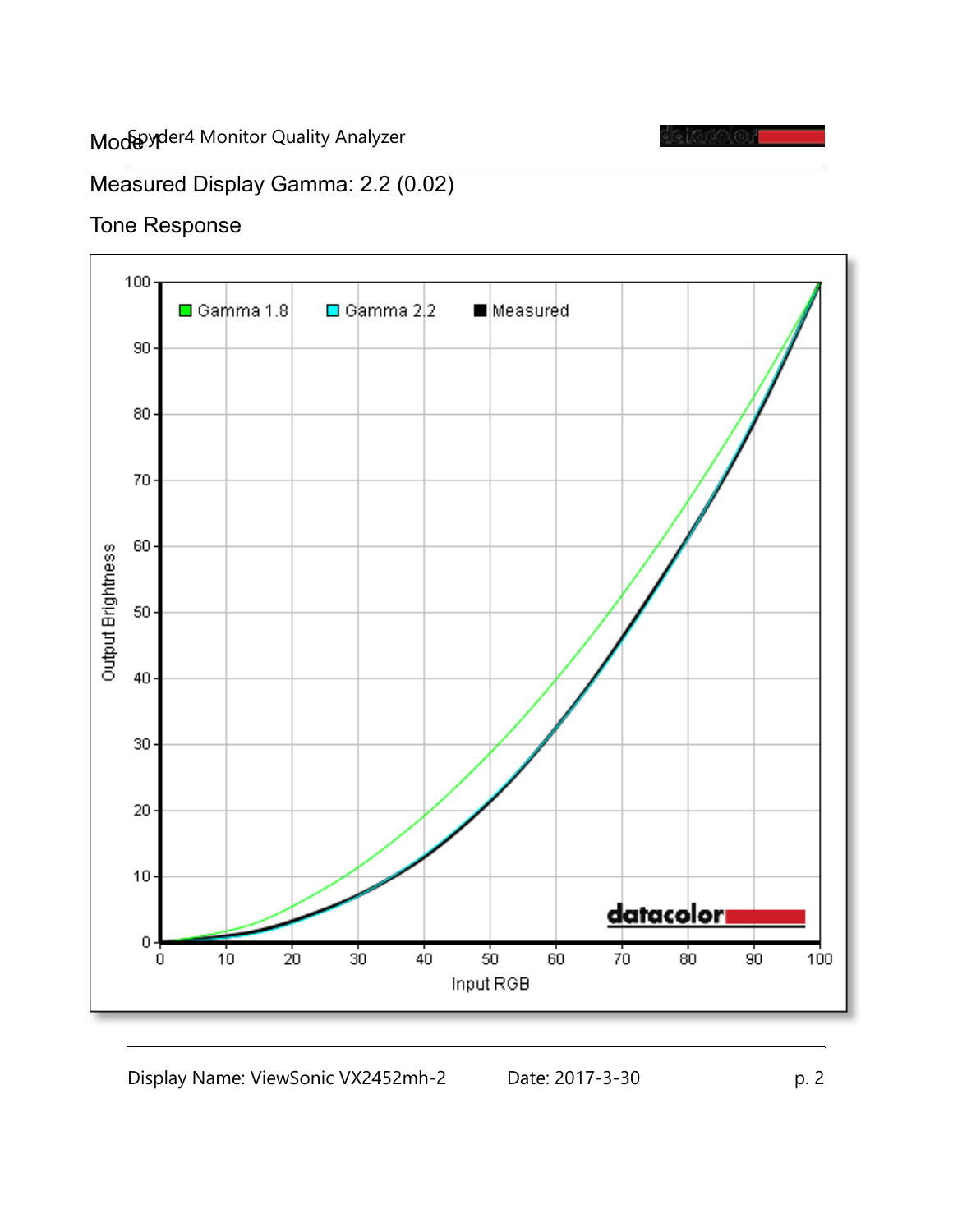

## Measured Display Gamma: 2.2 (0.02)

#### Tone Response

![](_page_1_Figure_4.jpeg)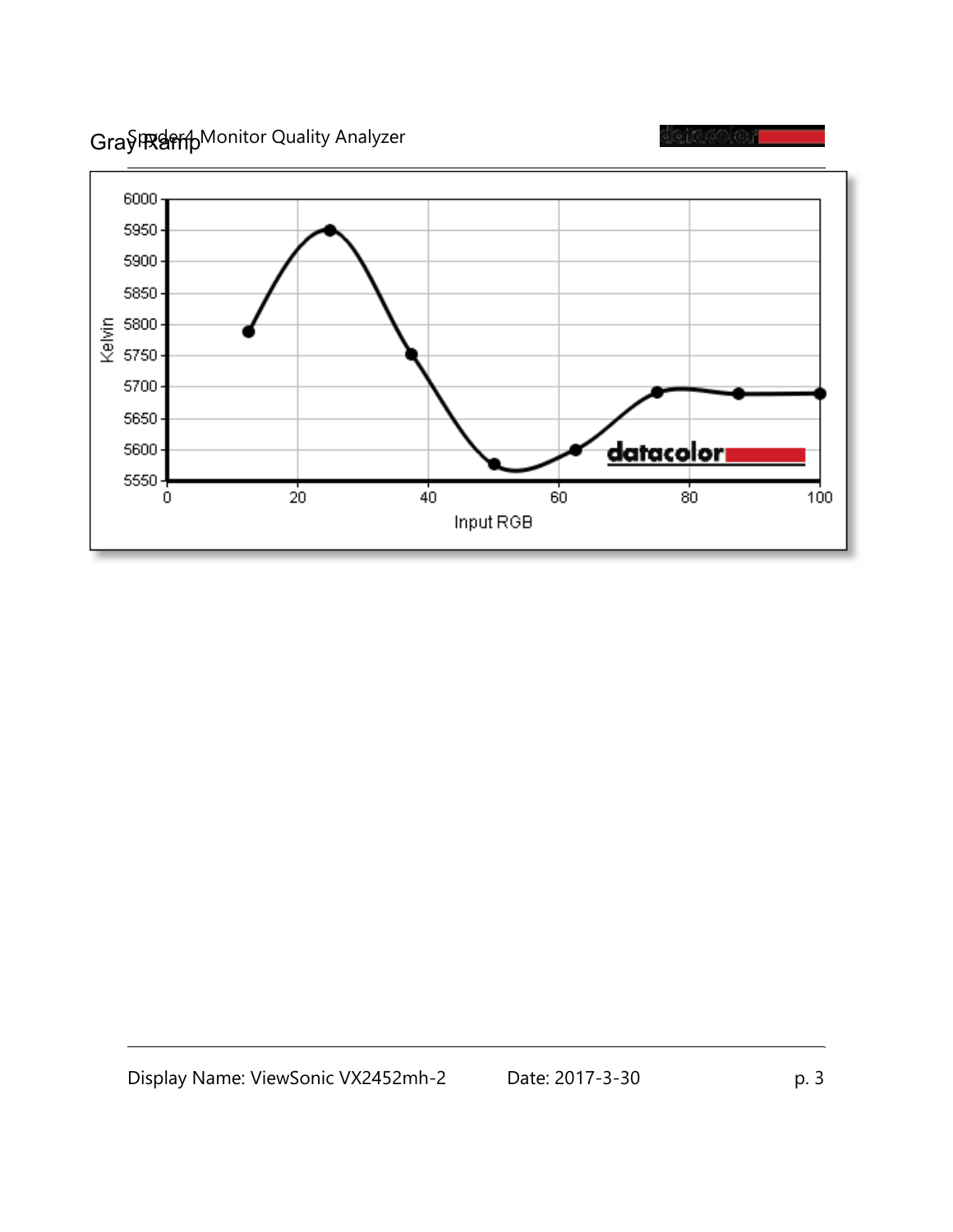Gray Ramp Monitor Quality Analyzer

![](_page_2_Figure_1.jpeg)

![](_page_2_Figure_2.jpeg)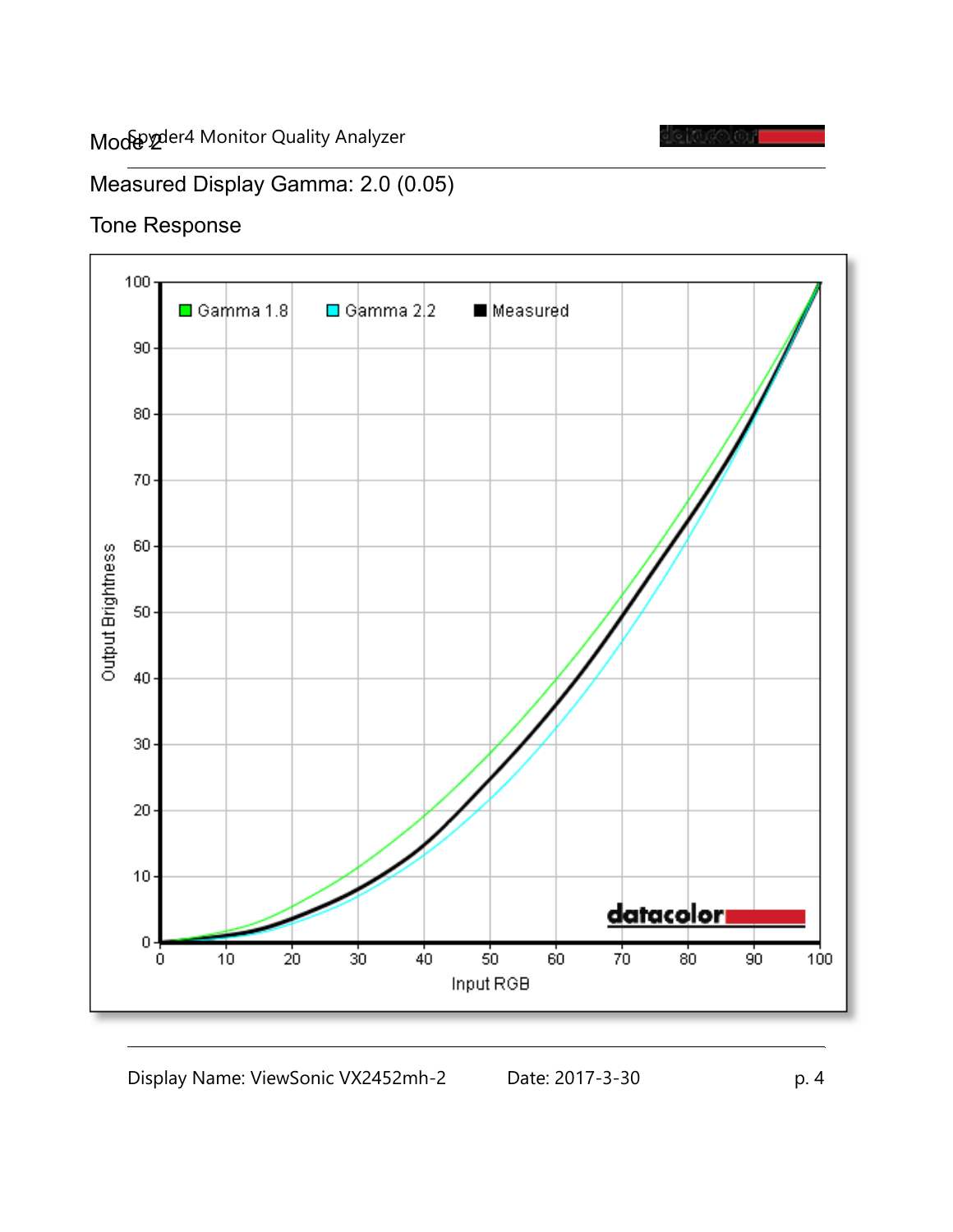![](_page_3_Picture_1.jpeg)

## Measured Display Gamma: 2.0 (0.05)

#### Tone Response

![](_page_3_Figure_4.jpeg)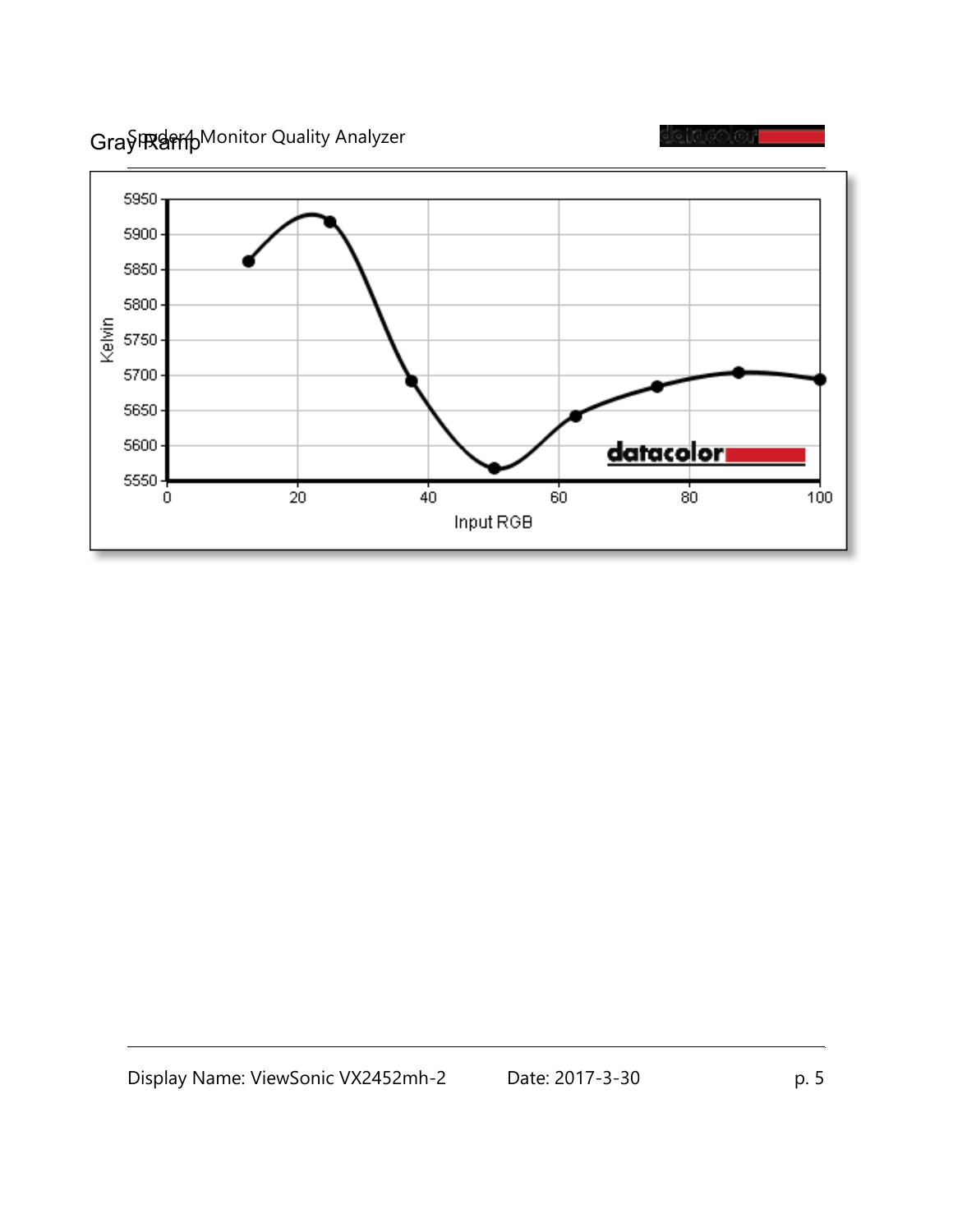Gray Ramp Monitor Quality Analyzer

![](_page_4_Figure_1.jpeg)

![](_page_4_Figure_2.jpeg)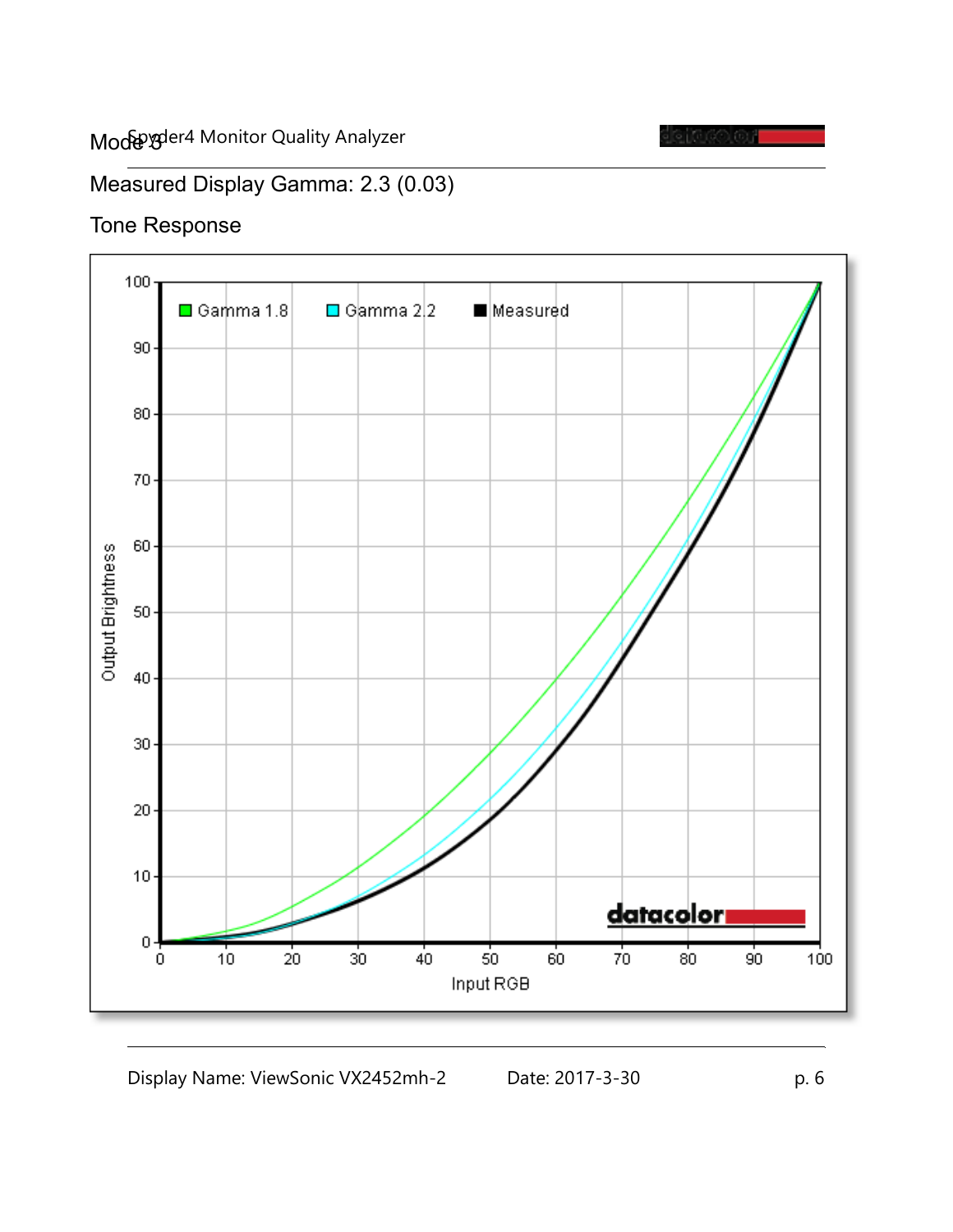![](_page_5_Picture_1.jpeg)

## Measured Display Gamma: 2.3 (0.03)

#### Tone Response

![](_page_5_Figure_4.jpeg)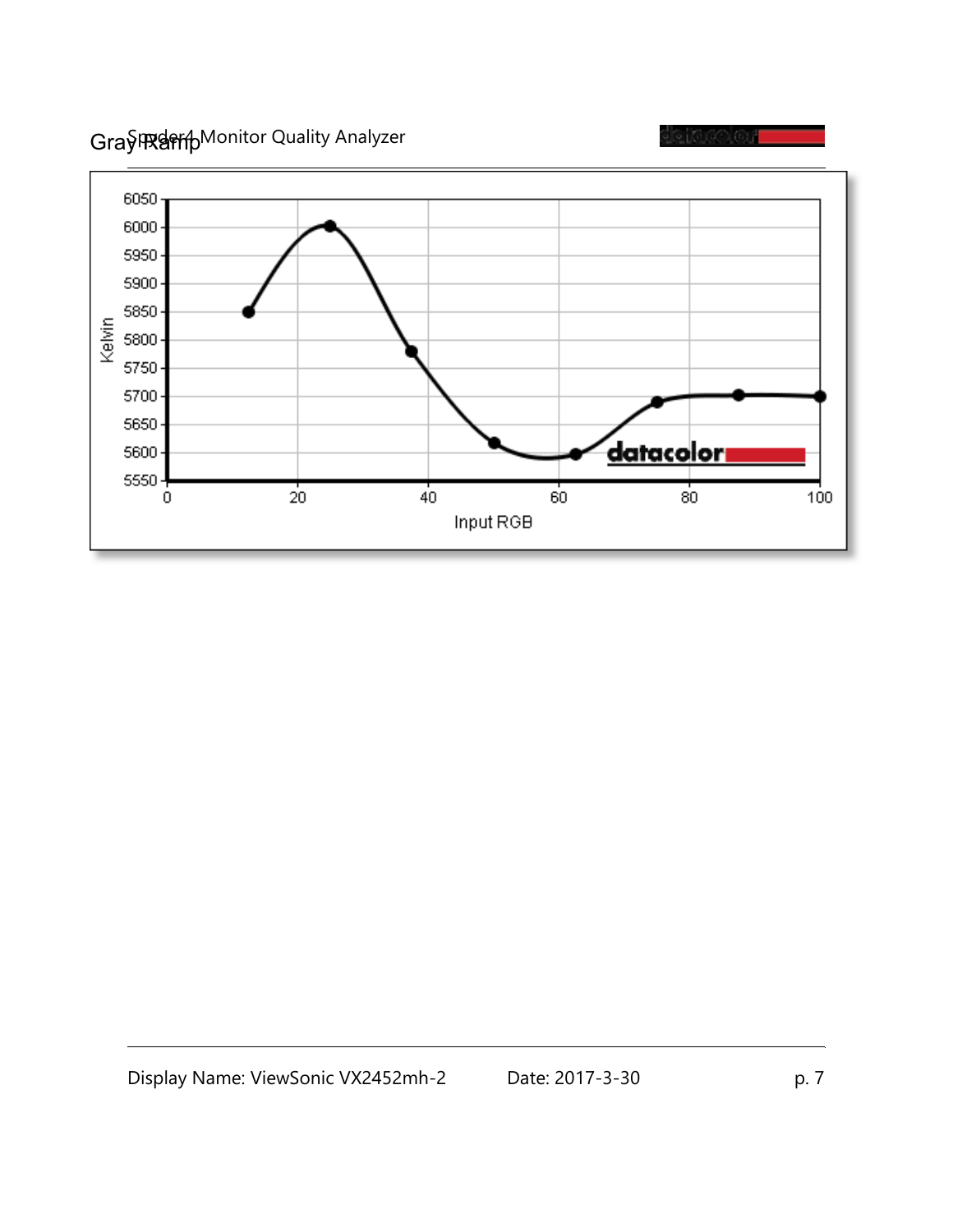Gray Ramp Monitor Quality Analyzer

![](_page_6_Figure_1.jpeg)

eiaco ar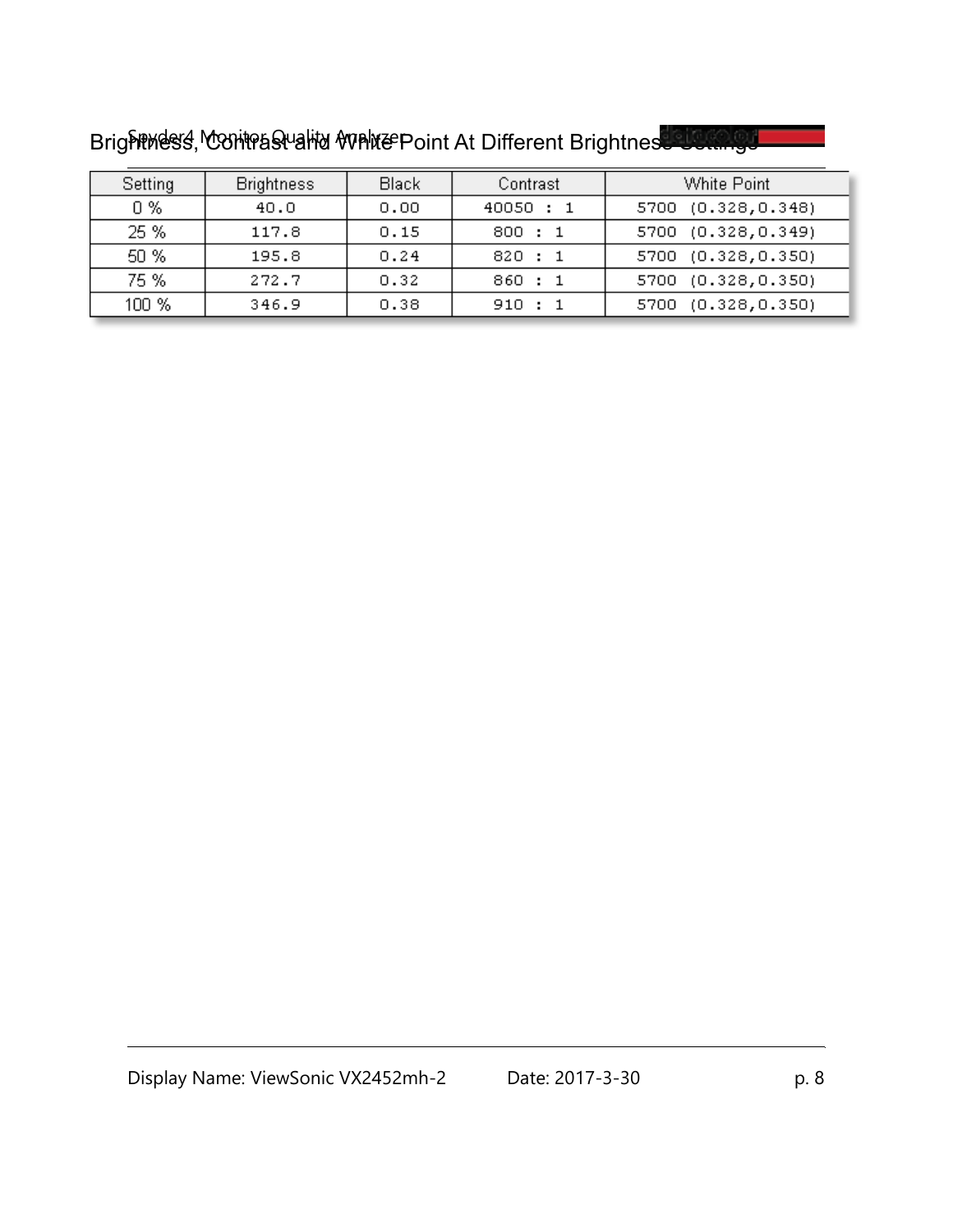| Setting | <b>Brightness</b> | Black | Contrast  | White Point        |
|---------|-------------------|-------|-----------|--------------------|
| 0 %     | 40.0              | 0.00  | 40050 : 1 | 5700 (0.328,0.348) |
| 25 %    | 117.8             | 0.15  | 800 : 1   | 5700 (0.328,0.349) |
| 50 %    | 195.8             | 0.24  | 820 : 1   | 5700 (0.328,0.350) |
| 75 %    | 272.7             | 0.32  | 860 : 1   | 5700 (0.328,0.350) |
| 100 %   | 346.9             | 0.38  | 910 : 1   | 5700 (0.328,0.350) |

Brightwess, Contrast and White Point At Different Brightness Settings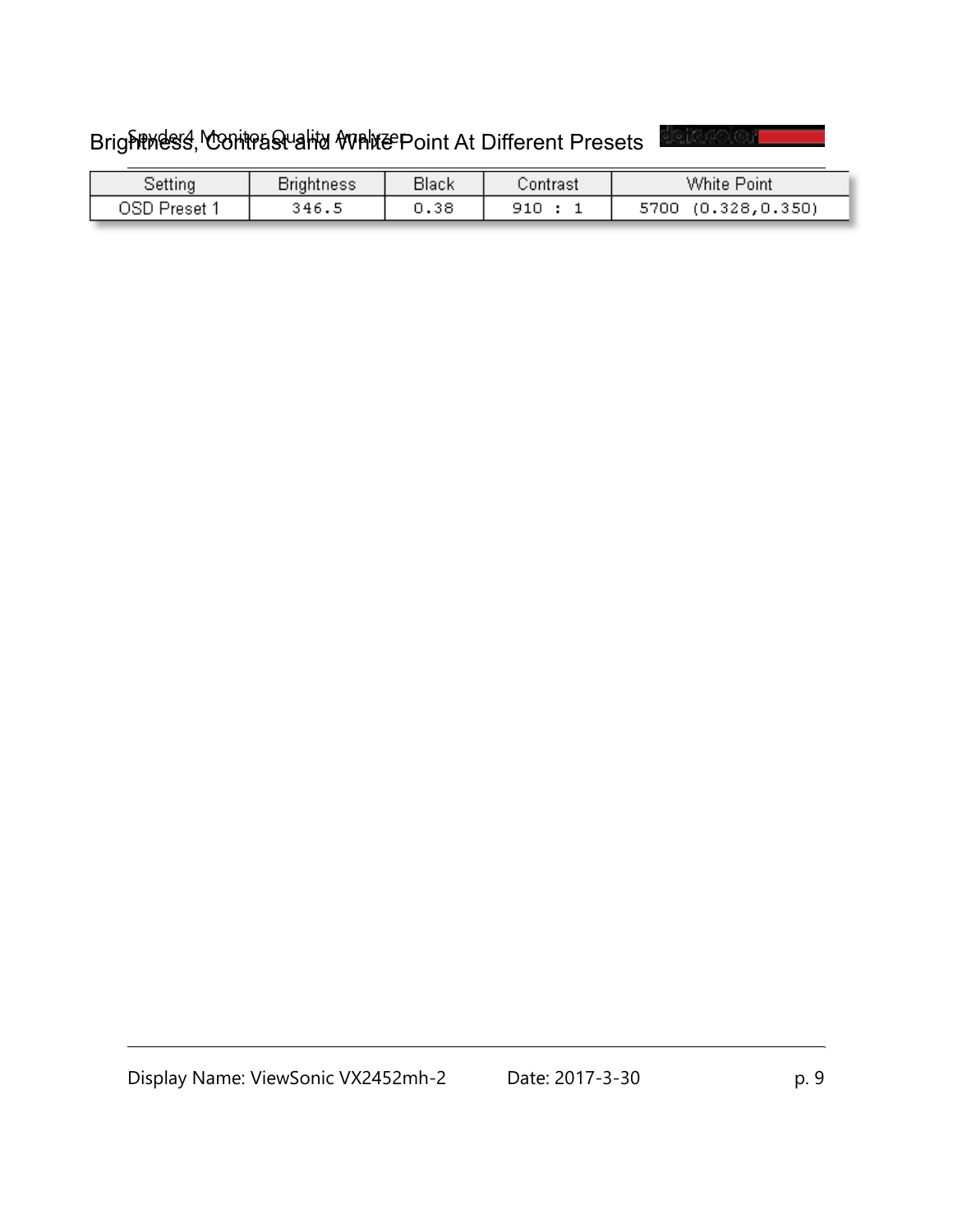# Brightmess, Contrast and White Point At Different Presets

<u>leitusolou</u>

| strightness        |       | <b>Black</b><br>Contrast |     | White<br>Point         |  |  |  |
|--------------------|-------|--------------------------|-----|------------------------|--|--|--|
| USP.<br>⊃ Preset 1 | ి46.ఎ | 0.38                     | 910 | (0.328, 0.350)<br>5700 |  |  |  |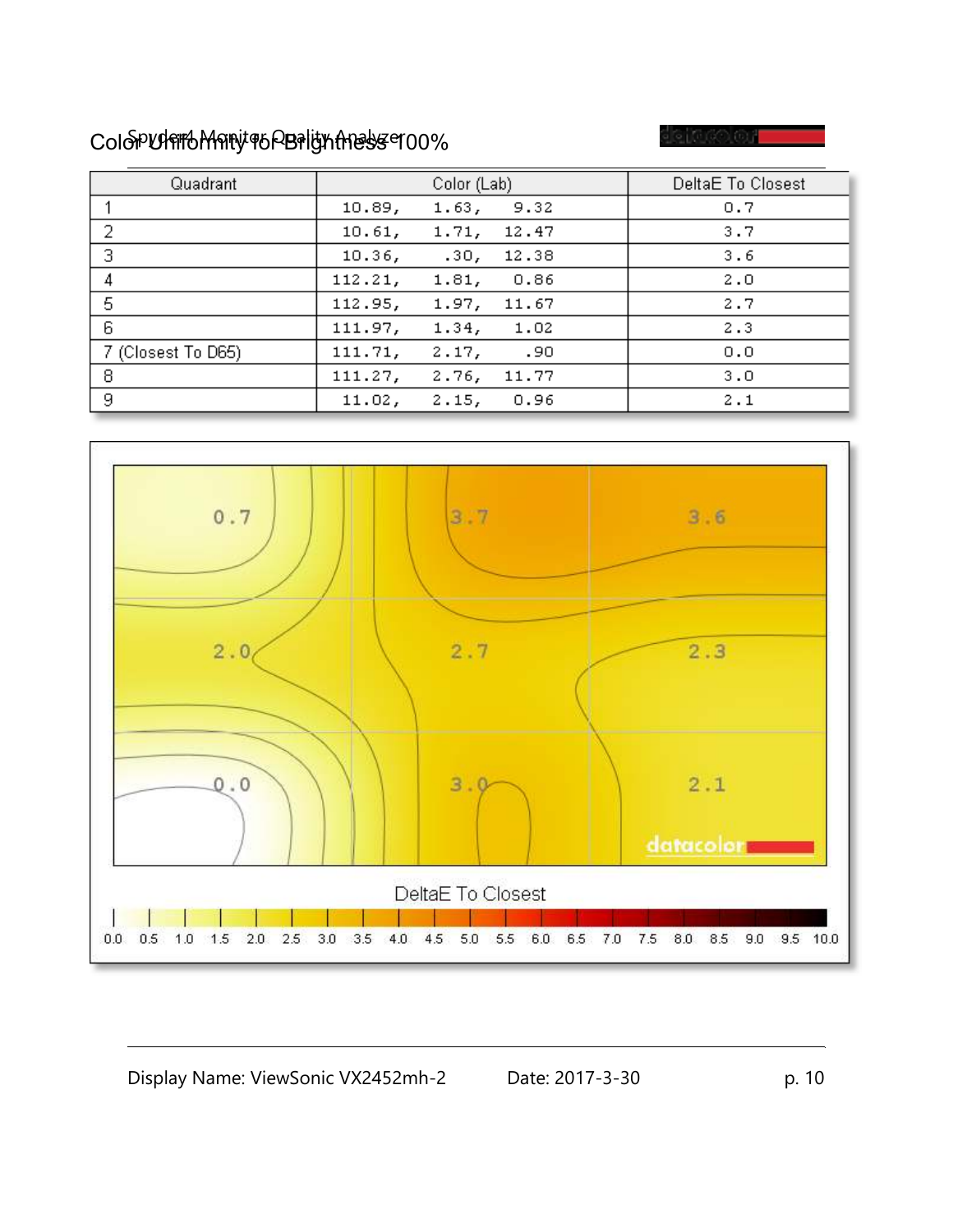## ColoPURTOMATY TO PBPIGKATEST 100%

් යැනෙ හැ

| Quadrant           |         | Color (Lab)      | DeltaE To Closest |     |
|--------------------|---------|------------------|-------------------|-----|
|                    | 10.89,  | 1.63,            | 9.32              | 0.7 |
| 2                  | 10.61,  | 1.71,            | 12.47             | 3.7 |
| 3                  | 10.36,  | .30 <sub>r</sub> | 12.38             | 3.6 |
| 4                  | 112.21, | 1.81,            | 0.86              | 2.0 |
| 5                  | 112.95, | 1.97,            | 11.67             | 2.7 |
| 6                  | 111.97, | 1.34,            | 1.02              | 2.3 |
| 7 (Closest To D65) | 111.71, | 2.17,            | .90               | 0.0 |
| 8                  | 111.27, | 2.76,            | 11.77             | 3.0 |
| 9                  | 11.02,  | 2.15,            | 0.96              | 2.1 |

![](_page_9_Figure_3.jpeg)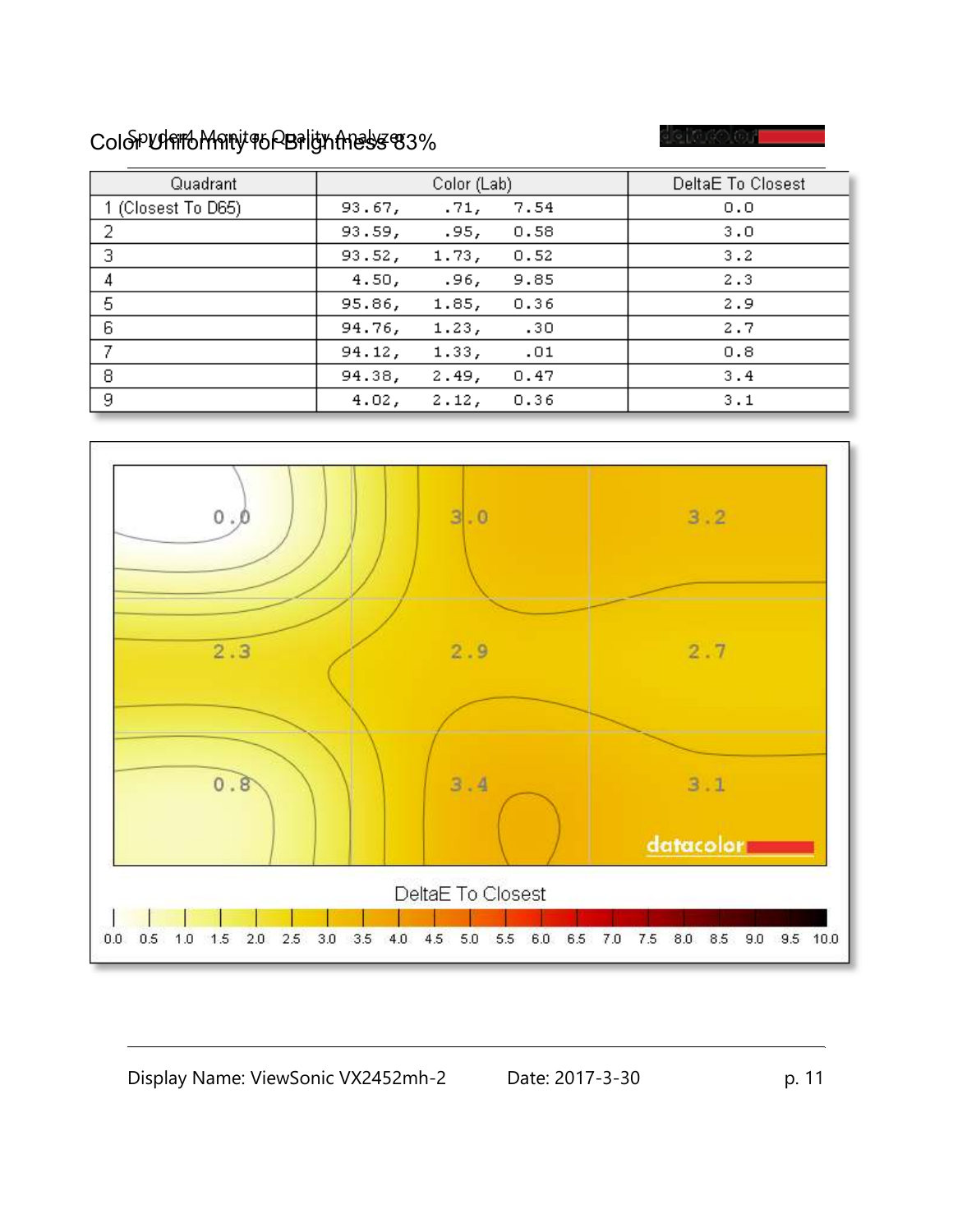## ColoPUS MONITOR Brightness 83%

ා[සැනෙ] නැ

| Quadrant           |        | Color (Lab) | DeltaE To Closest |     |
|--------------------|--------|-------------|-------------------|-----|
| 1 (Closest To D65) | 93.67, | .71,        | 7.54              | 0.0 |
| -2                 | 93.59, | .95,        | 0.58              | 3.0 |
| 3                  | 93.52, | 1.73,       | 0.52              | 3.2 |
|                    | 4.50,  | .96,        | 9.85              | 2.3 |
| 5                  | 95.86, | 1.85,       | 0.36              | 2.9 |
| 6                  | 94.76, | 1.23,       | .30               | 2.7 |
|                    | 94.12, | 1.33,       | .01               | 0.8 |
| 8                  | 94.38, | 2.49,       | 0.47              | 3.4 |
| 9                  | 4.02,  | 2.12,       | 0.36              | 3.1 |

![](_page_10_Figure_3.jpeg)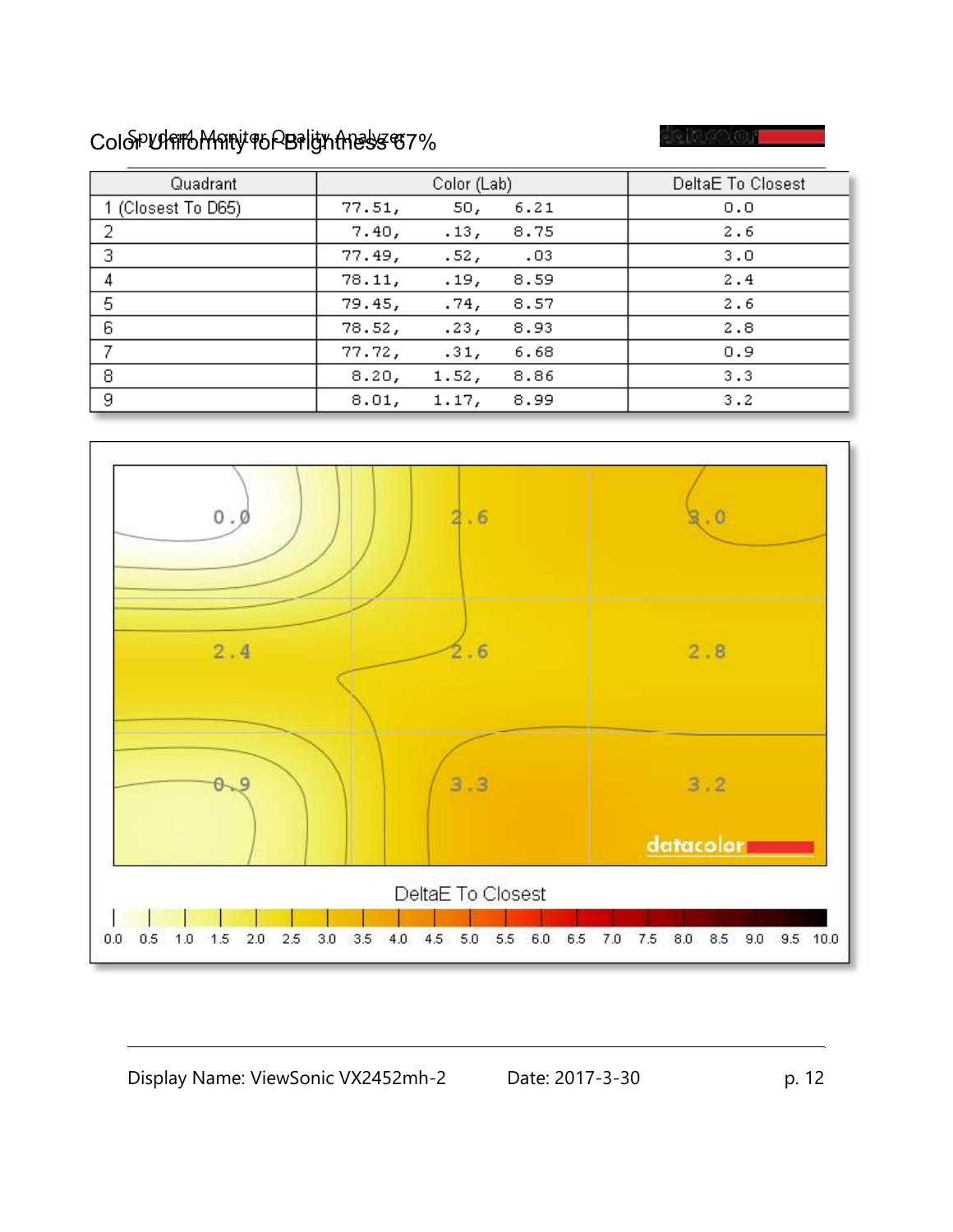## ColoPUS TO MARY TO PERIGN AND SET %

්යයක් බා

| Quadrant           |        | Color (Lab)      | DeltaE To Closest |     |
|--------------------|--------|------------------|-------------------|-----|
| 1 (Closest To D65) | 77.51, | 50,              | 6.21              | 0.0 |
| 2                  | 7.40,  | .13 <sub>r</sub> | 8.75              | 2.6 |
| 3                  | 77.49, | .52 <sub>r</sub> | $\cdot$ .03       | 3.0 |
|                    | 78.11, | .19,             | 8.59              | 2.4 |
| 5                  | 79.45, | .74,             | 8.57              | 2.6 |
| 6                  | 78.52, | .23,             | 8.93              | 2.8 |
|                    | 77.72, | .31,             | 6.68              | 0.9 |
| 8                  | 8.20,  | 1.52,            | 8.86              | 3.3 |
| 9                  | 8.01,  | 1.17,            | 8.99              | 3.2 |

![](_page_11_Figure_3.jpeg)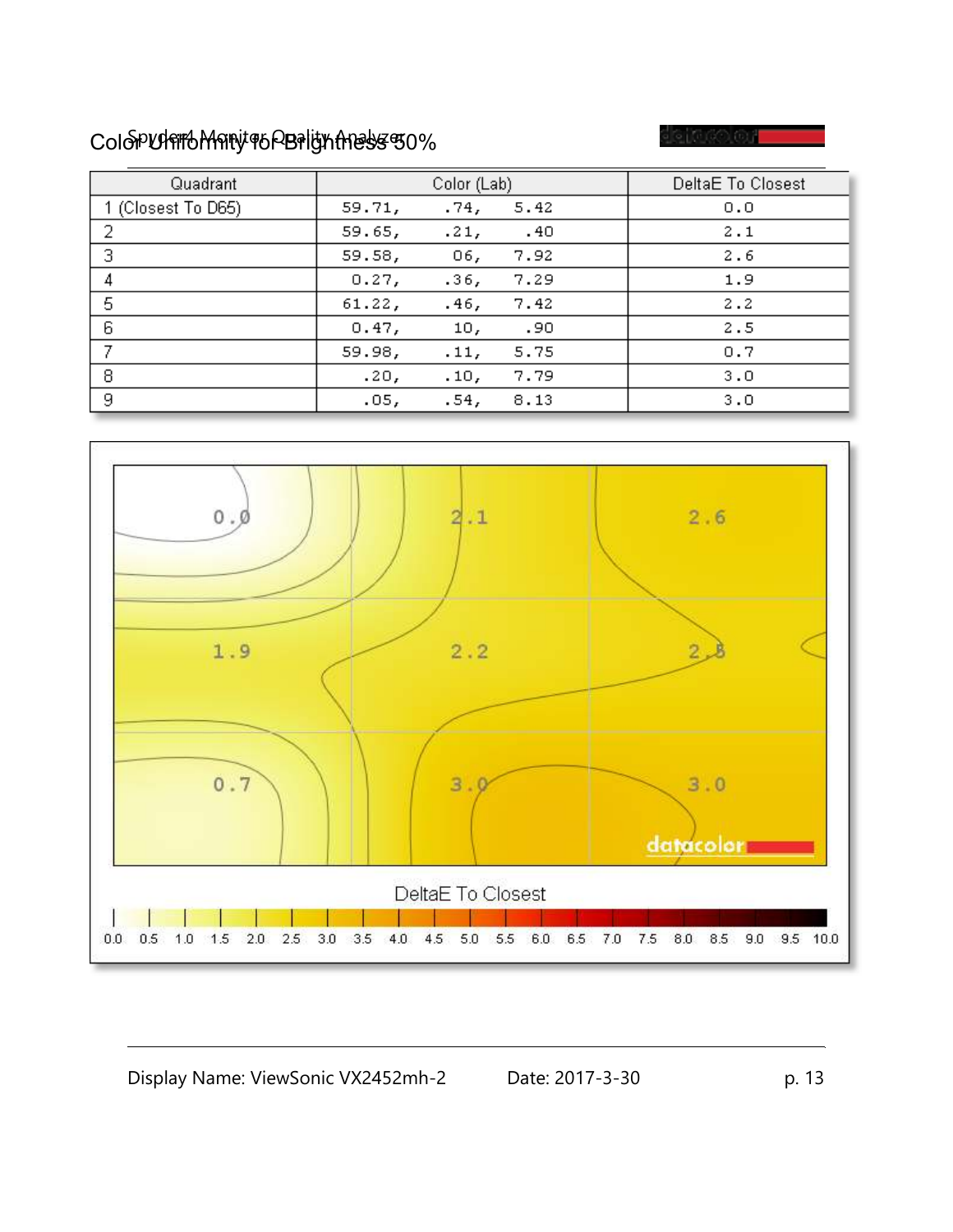## ColoPUS TO MARY TO PERIGN AND SET ON

| Quadrant           |        | Color (Lab) | DeltaE To Closest   |     |
|--------------------|--------|-------------|---------------------|-----|
| 1 (Closest To D65) | 59.71, | .74,        | 5.42                | 0.0 |
| -2                 | 59.65, | .21,        | $\overline{1}$ . 40 | 2.1 |
| 3                  | 59.58, | 06,         | 7.92                | 2.6 |
| 4                  | 0.27,  | .36,        | 7.29                | 1.9 |
| 5                  | 61.22, | .46,        | 7.42                | 2.2 |
| 6                  | 0.47,  | 10,         | .90                 | 2.5 |
|                    | 59.98, | .11,        | 5.75                | 0.7 |
| 8                  | .20,   | .10,        | 7.79                | 3.0 |
| 9                  | .05,   | .54,        | 8.13                | 3.0 |

![](_page_12_Figure_3.jpeg)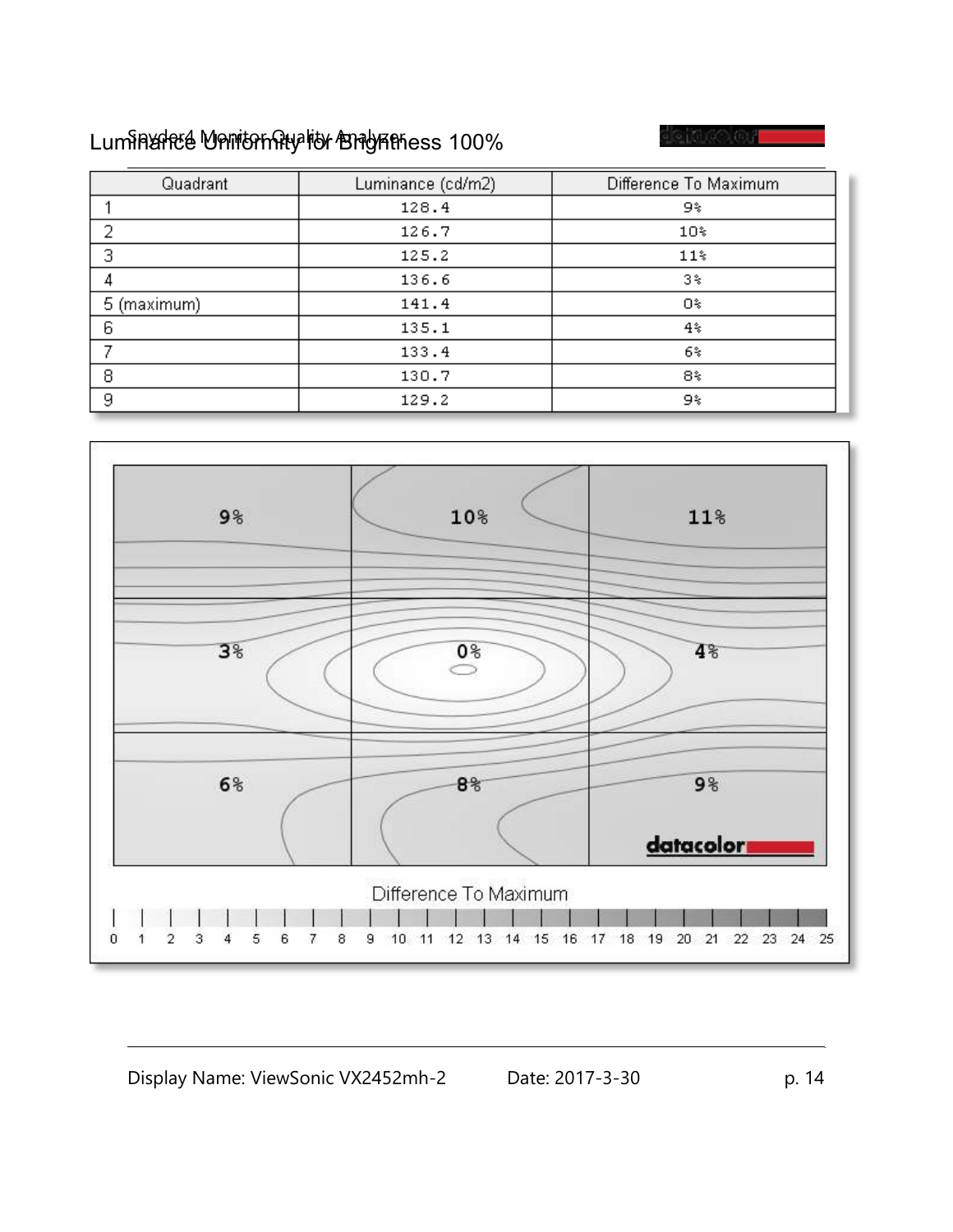# Luminance Univernity for Brightness 100%

e 1060 OF

| Quadrant    | Luminance (cd/m2) | Difference To Maximum |
|-------------|-------------------|-----------------------|
|             | 128.4             | 9%                    |
| ว           | 126.7             | 10%                   |
| 3           | 125.2             | $11*$                 |
|             | 136.6             | 3%                    |
| 5 (maximum) | 141.4             | Ο%                    |
| 6           | 135.1             | 4%                    |
|             | 133.4             | 6%                    |
| 8           | 130.7             | 8%                    |
| 9           | 129.2             | 9%                    |

![](_page_13_Figure_3.jpeg)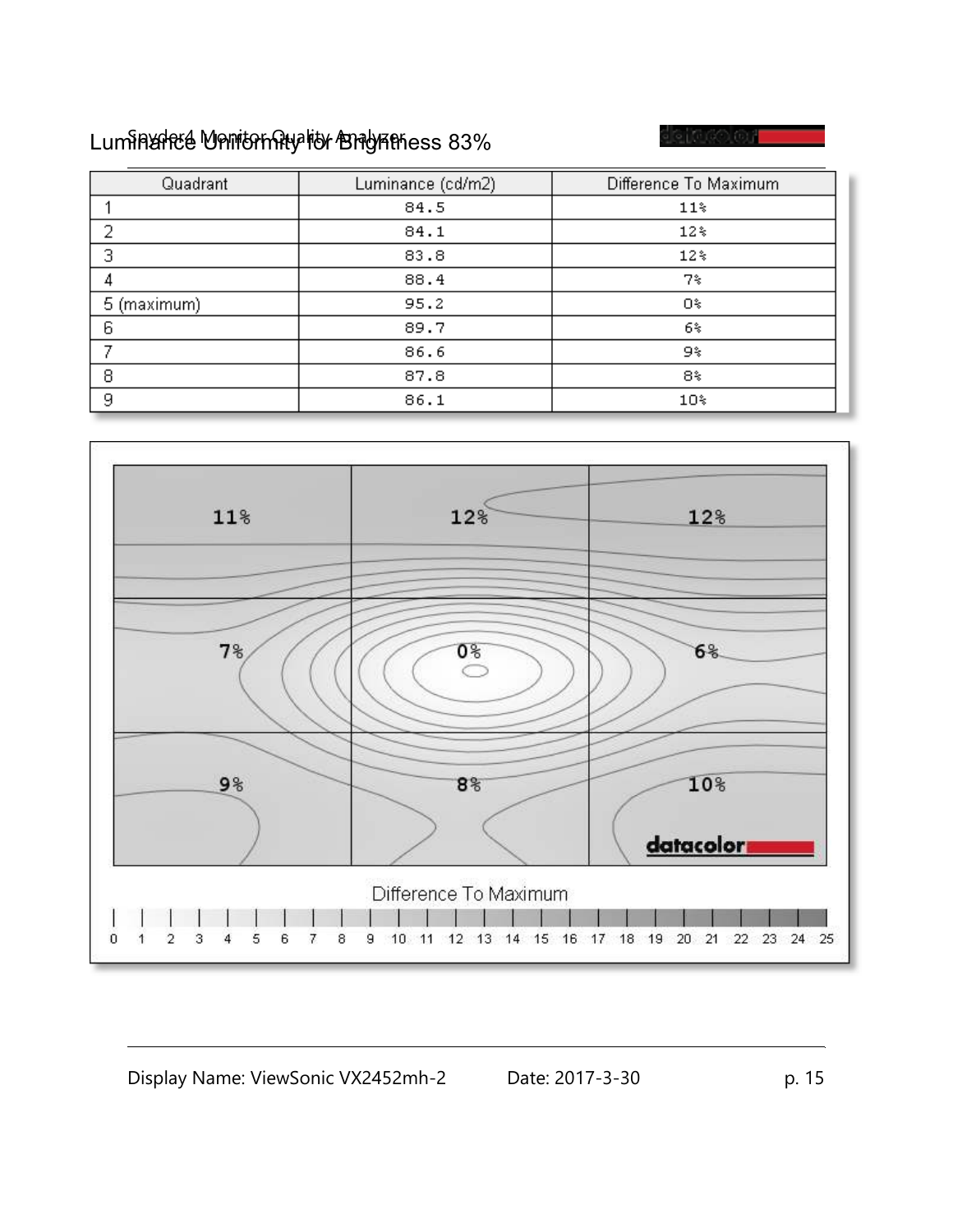# Luminance Uniformity for Brightness 83%

e 1060 OF

| Quadrant    | Luminance (cd/m2) | Difference To Maximum |
|-------------|-------------------|-----------------------|
|             | 84.5              | $11*$                 |
| Э           | 84.1              | $12*$                 |
| 3           | 83.8              | $12*$                 |
|             | 88.4              | 7%                    |
| 5 (maximum) | 95.2              | Ο%                    |
| 6           | 89.7              | 6%                    |
|             | 86.6              | 9%                    |
| 8           | 87.8              | 8%                    |
| 9           | 86.1              | 10%                   |

![](_page_14_Figure_3.jpeg)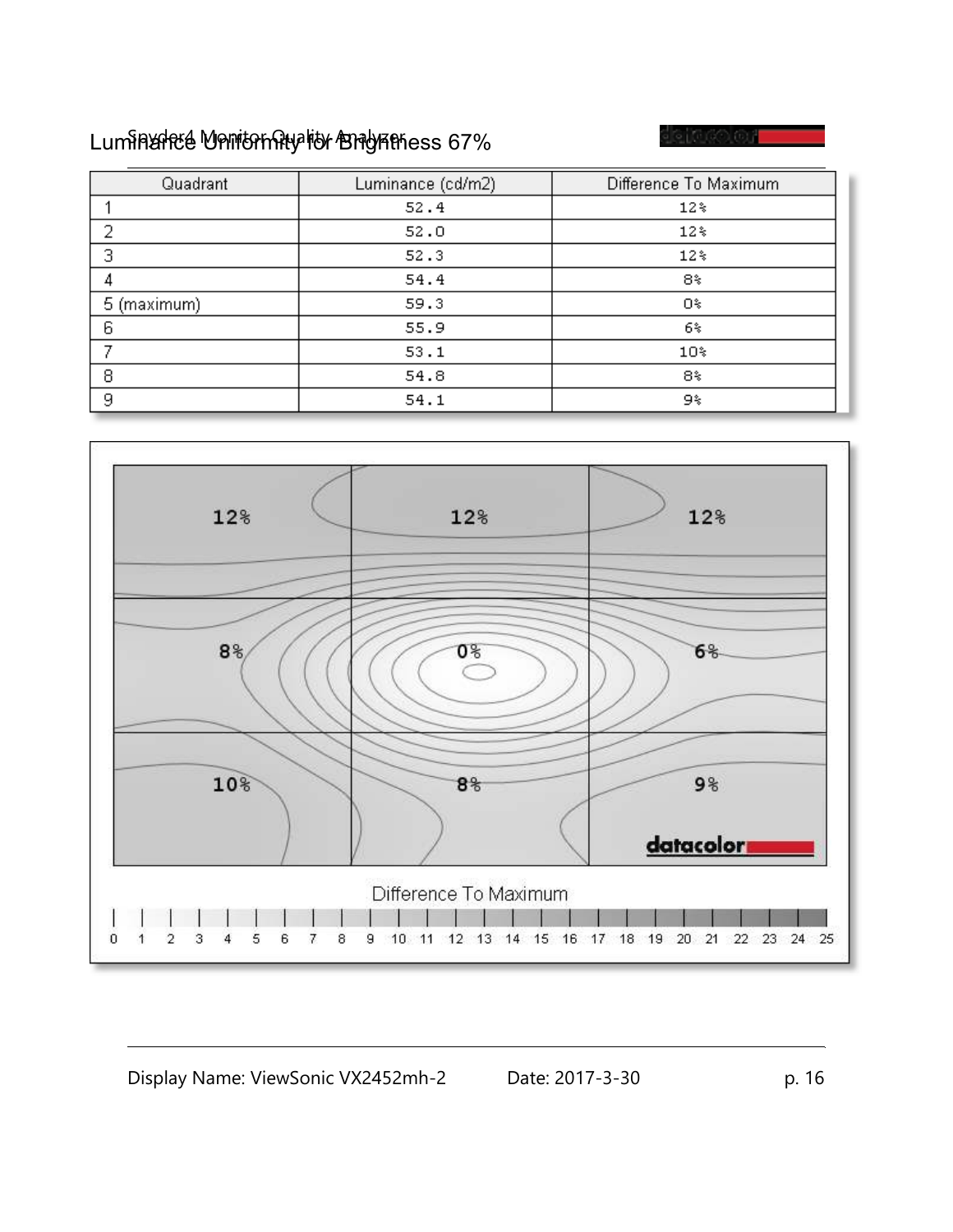# Luminance Uniformity for Brightness 67%

e 1060 OF

| Quadrant    | Luminance (cd/m2) | Difference To Maximum |  |  |  |  |
|-------------|-------------------|-----------------------|--|--|--|--|
|             | 52.4              | $12*$                 |  |  |  |  |
| ว           | 52.0              | $12*$                 |  |  |  |  |
| 3           | 52.3              | $12*$                 |  |  |  |  |
|             | 54.4              | 8%                    |  |  |  |  |
| 5 (maximum) | 59.3              | Ο%                    |  |  |  |  |
| 6           | 55.9              | 6%                    |  |  |  |  |
|             | 53.1              | $10*$                 |  |  |  |  |
| 8           | 54.8              | 8%                    |  |  |  |  |
| 9           | 54.1              | 9%                    |  |  |  |  |

![](_page_15_Figure_3.jpeg)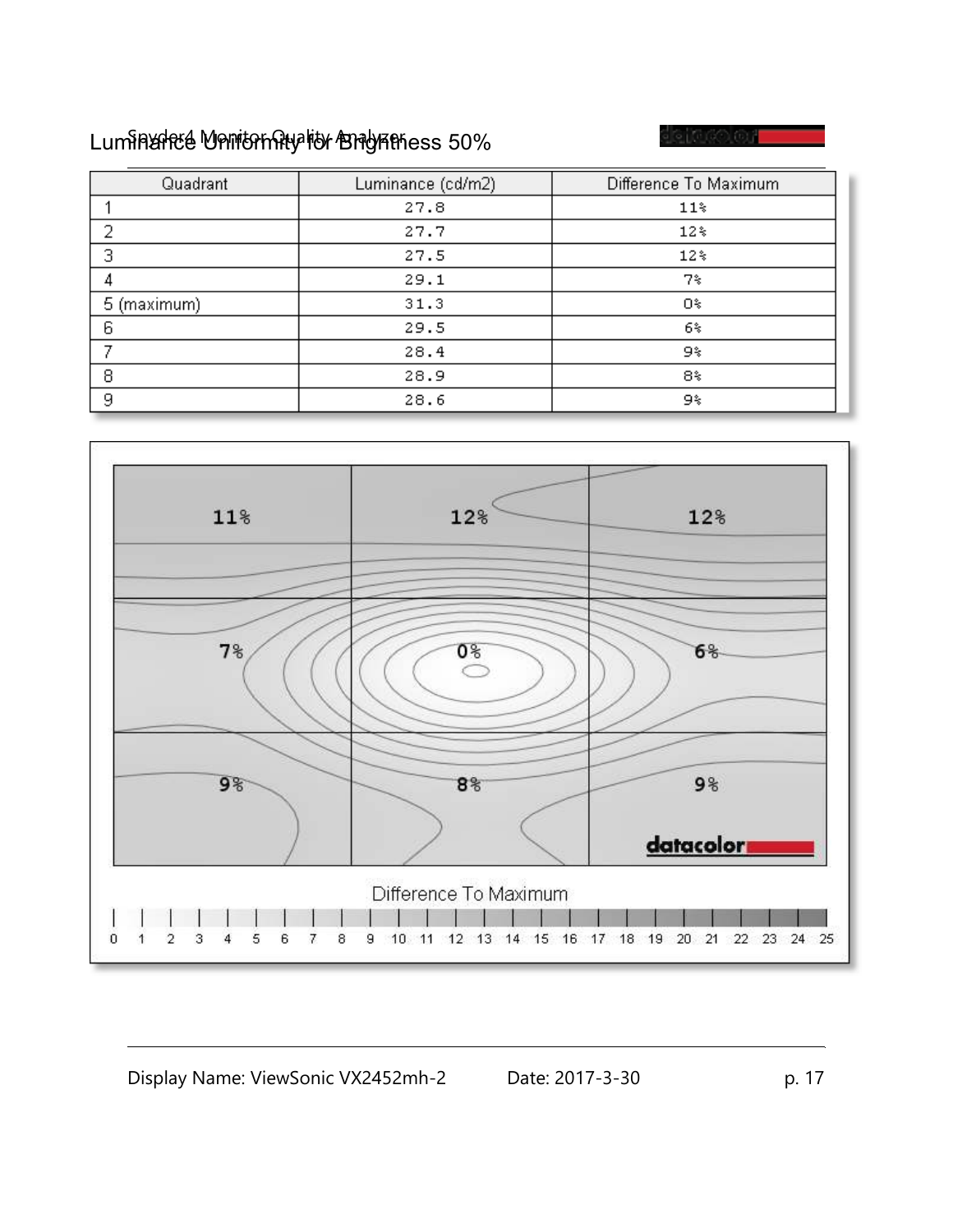# Luminance Uniformity for Brightness 50%

e 1060 OF

| Quadrant    | Luminance (cd/m2) | Difference To Maximum |  |  |  |  |
|-------------|-------------------|-----------------------|--|--|--|--|
|             | 27.8              | $11*$                 |  |  |  |  |
| Э           | 27.7              | $12*$                 |  |  |  |  |
| 3           | 27.5              | $12*$                 |  |  |  |  |
|             | 29.1              | 7%                    |  |  |  |  |
| 5 (maximum) | 31.3              | Οş                    |  |  |  |  |
| 6           | 29.5              | 6%                    |  |  |  |  |
|             | 28.4              | 9%                    |  |  |  |  |
| 8           | 28.9              | 8%                    |  |  |  |  |
| 9           | 28.6              | 9%                    |  |  |  |  |

![](_page_16_Figure_3.jpeg)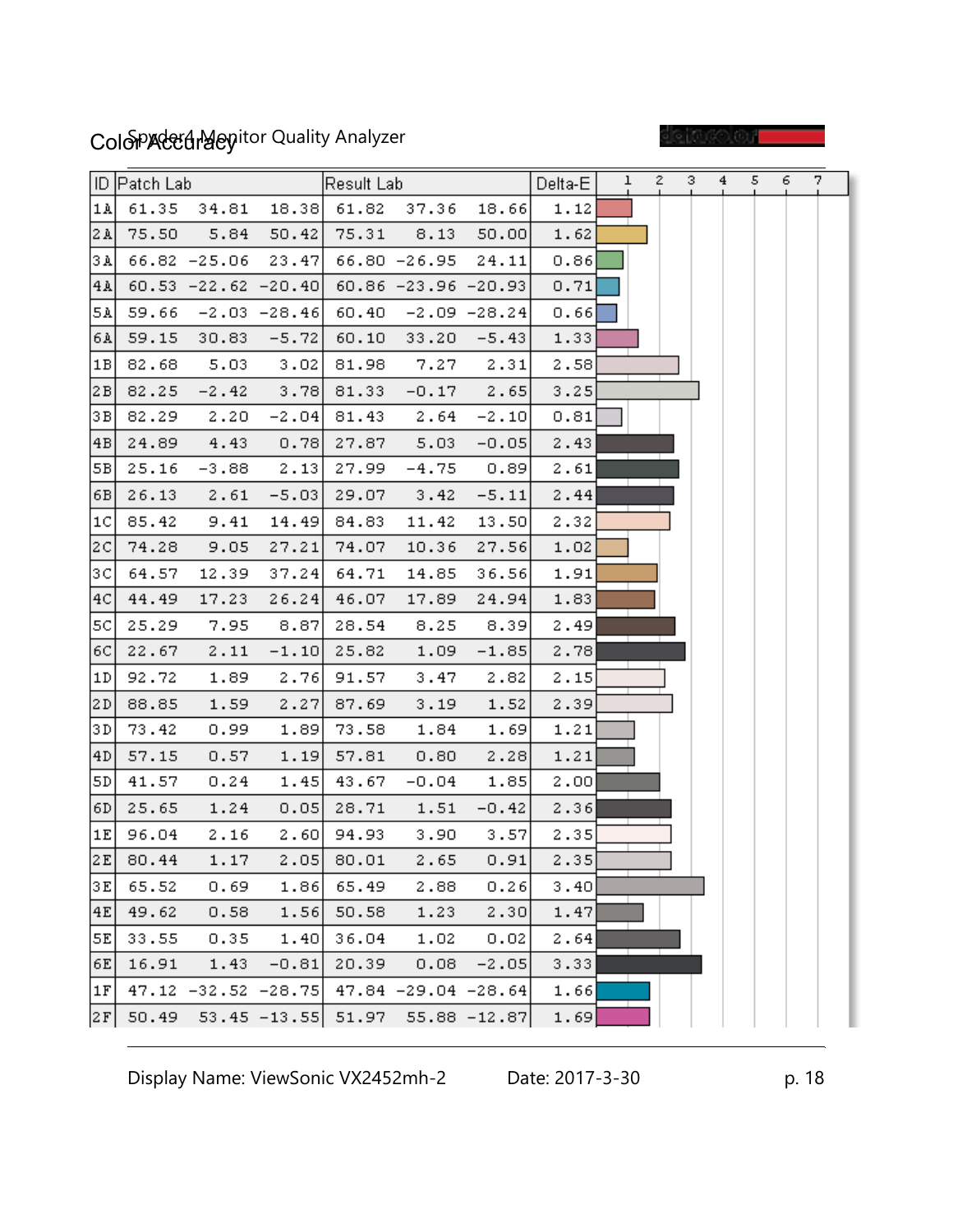# ColoPAccuracy ColoPACcuracy Spythor Quality Analyzer

e i dool or

|                 | ID  Patch Lab |                                                 |                    | Result Lab_   |                                 |                | Delta-E | ı | $2 -$ | з. | 4 | 5. | 6. | 7. |
|-----------------|---------------|-------------------------------------------------|--------------------|---------------|---------------------------------|----------------|---------|---|-------|----|---|----|----|----|
| 1 <sub>A</sub>  |               | $61.35$ $34.81$ $18.38$ $61.82$ $37.36$ $18.66$ |                    |               |                                 |                | 1.12    |   |       |    |   |    |    |    |
| 2A              | 75.50         | 5.84                                            | 50.42              |               | 75.31 8.13                      | 50.00          | 1.62    |   |       |    |   |    |    |    |
| 3 A             |               | 66.82 -25.06 23.47 66.80 -26.95 24.11           |                    |               |                                 |                | 0.86    |   |       |    |   |    |    |    |
| 4A              |               | $60.53 -22.62 -20.40$ $60.86 -23.96 -20.93$     |                    |               |                                 |                | 0.71    |   |       |    |   |    |    |    |
| 5A)             |               | $59.66 -2.03 -28.46$ 60.40 -2.09 -28.24         |                    |               |                                 |                | 0.66    |   |       |    |   |    |    |    |
| 6A              | 59.15         |                                                 | $30.83 - 5.72$     | 60.10         |                                 | $33.20 - 5.43$ | 1.33    |   |       |    |   |    |    |    |
| 1B              | 82.68         | 5.03                                            | - 3.02             | 81.98         | 7.27                            | 2.31           | 2.58    |   |       |    |   |    |    |    |
| 2B              | 82.25         |                                                 | $-2.42$ 3.78 81.33 |               |                                 | $-0.17$ 2.65   | 3.25    |   |       |    |   |    |    |    |
| 3 B J           | 82.29         | 2.20                                            |                    | $-2.04$ 81.43 | 2.64                            | $-2.10$        | 0.81    |   |       |    |   |    |    |    |
| $\overline{AB}$ | 24.89         | 4.43                                            | 0.78               | 27.87         | 5.03                            | $-0.05$        | 2.43    |   |       |    |   |    |    |    |
| 5B              | 25.16         | -3.88                                           | 2.13               | 27.99         | $-4.75$                         | 0.89           | 2.61    |   |       |    |   |    |    |    |
| [6B]            | 26.13         | 2.61                                            | $-5.03$            | 29.07         | 3.42                            | $-5.11$        | 2.44    |   |       |    |   |    |    |    |
| 1 <sup>C</sup>  | 85.42         | 9.41                                            |                    | $14.49$ 84.83 | 11.42                           | 13,50          | 2.32    |   |       |    |   |    |    |    |
| 2C              | 74.28         | 9.05                                            | 27.21              | 74.07         | 10.36                           | 27.56          | 1.02    |   |       |    |   |    |    |    |
| 3C              | 64.57         | 12.39                                           | 37.24              | 64.71         | 14.85                           | 36.56          | 1.91    |   |       |    |   |    |    |    |
| 4C              | 44.49         | 17.23                                           | 26.24              | 46.07         | 17.89                           | 24.94          | 1.83    |   |       |    |   |    |    |    |
| 5C]             | 25.29         | 7.95                                            | 8.87               | 28.54         | 8.25                            | 8.39           | 2.49    |   |       |    |   |    |    |    |
| 6C              | 22.67         | 2.11                                            |                    | $-1.10$ 25.82 | 1.09                            | $-1.85$        | 2.78    |   |       |    |   |    |    |    |
| 1D              | 92.72         | 1.89                                            |                    | $2.76$ 91.57  | 3.47                            | 2.82           | 2.15    |   |       |    |   |    |    |    |
| 2D              | 88.85         | 1.59                                            | 2.27               | 87.69         | 3.19                            | 1.52           | 2.39    |   |       |    |   |    |    |    |
| 3 D             | 73.42         | 0.99                                            | 1.89               | 73.58         | 1.84                            | 1.69           | 1.21    |   |       |    |   |    |    |    |
| 4D              | 57.15         | 0.57                                            |                    | $1.19$ 57.81  | 0.80                            | 2.28           | 1.21    |   |       |    |   |    |    |    |
| SD              | 41.57         | 0.24                                            | 1.45               | 43.67         | $-0.04$                         | 1.85           | 2.00    |   |       |    |   |    |    |    |
| 6D              | 25.65         | 1.24                                            |                    | $0.05$ 28.71  | 1.51                            | $-0.42$        | 2.36    |   |       |    |   |    |    |    |
| 1E              | 96.04         | 2.16                                            |                    | 2.60 94.93    | 3.90                            | 3.57           | 2.35    |   |       |    |   |    |    |    |
| 2E              | 80.44         | 1.17                                            |                    | $2.05$ 80.01  | 2.65                            | 0.91           | 2.35    |   |       |    |   |    |    |    |
| 3E              | 65.52         | 0.69                                            | 1.86               | 65.49         | 2.88                            | 0.26           | 3.40    |   |       |    |   |    |    |    |
| 4E              | 49.62         | 0.58                                            | 1.56               | 50.58         | 1.23                            | 2.30           | 1.47    |   |       |    |   |    |    |    |
| 5E              | 33.55         | 0.35                                            | 1.40               | 36.04         | 1.02                            | 0.02           | 2.64    |   |       |    |   |    |    |    |
| 6E              | 16.91         | 1.43                                            | $-0.81$            | 20.39         | 0.08                            | $-2.05$        | 3.33    |   |       |    |   |    |    |    |
| 1F              |               | $47.12 -32.52 -28.75$ $47.84 -29.04 -28.64$     |                    |               |                                 |                | 1.66    |   |       |    |   |    |    |    |
| 2F              | 50.49         |                                                 |                    |               | 53.45 -13.55 51.97 55.88 -12.87 |                | 1.69    |   |       |    |   |    |    |    |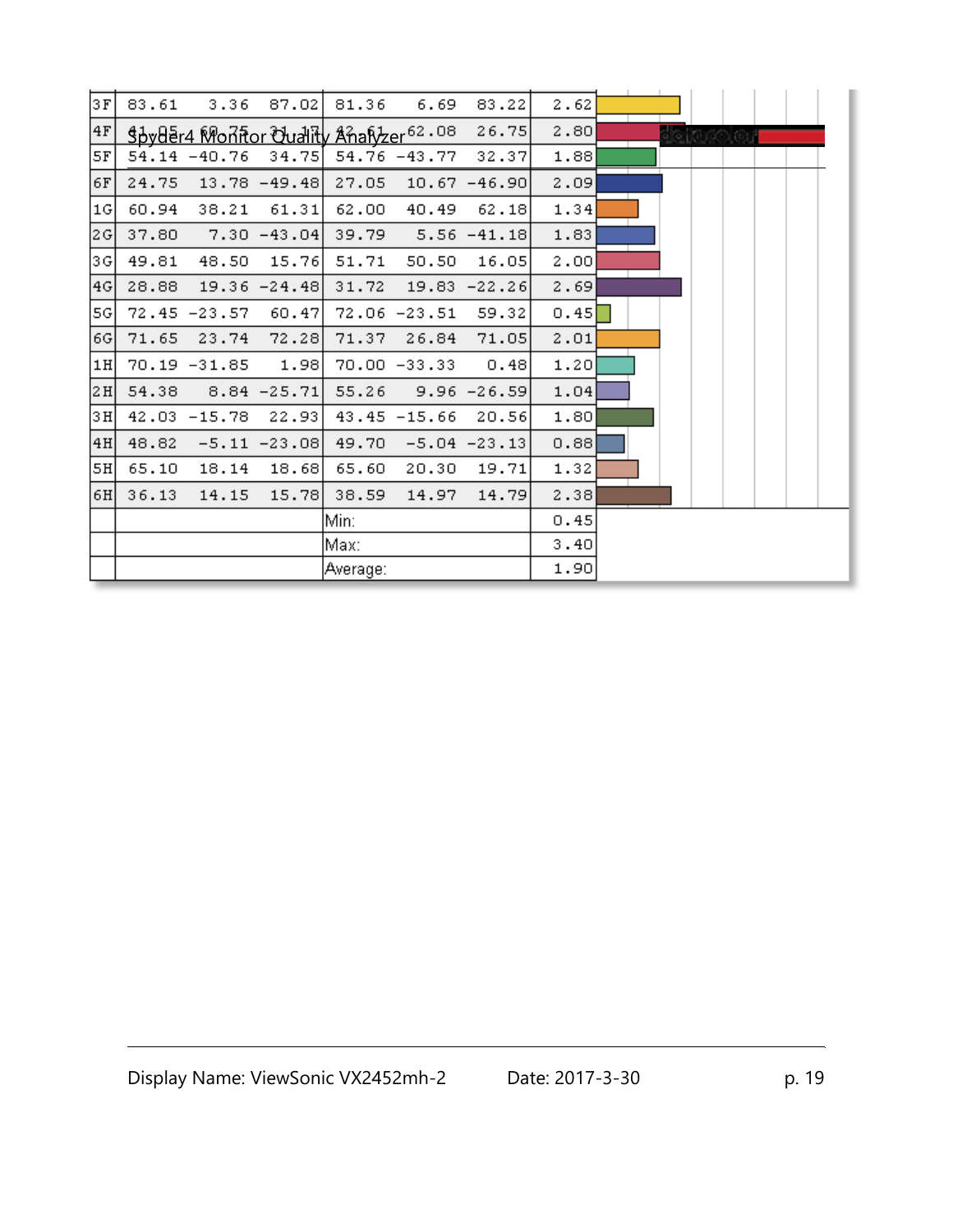| 3F   | 83.61 | 3.36                                              | 87.02           | 81.36    | 6.69            | 83.22           | 2.62 |  |  |  |  |
|------|-------|---------------------------------------------------|-----------------|----------|-----------------|-----------------|------|--|--|--|--|
| $4F$ |       | Spyder4 Monitor Quality Analyzer <sup>62.08</sup> |                 |          |                 | 26.75           | 2.80 |  |  |  |  |
| 5F   |       | $54.14 - 40.76$                                   | 34.75           |          | 54.76 -43.77    | 32.37           | 1.88 |  |  |  |  |
| 6F   | 24.75 |                                                   | $13.78 - 49.48$ | 27.05    |                 | $10.67 - 46.90$ | 2.09 |  |  |  |  |
| 1G   | 60.94 | 38.21                                             | 61.31           | 62.00    | 40.49           | 62.18           | 1.34 |  |  |  |  |
| 2G   | 37.80 |                                                   | $7.30 - 43.04$  | 39.79    |                 | $5.56 - 41.18$  | 1.83 |  |  |  |  |
| 3G   | 49.81 | 48.50                                             | 15.76           | 51.71    | 50.50           | 16.05           | 2.00 |  |  |  |  |
| 4G   | 28.88 |                                                   | $19.36 - 24.48$ | 31.72    |                 | $19.83 - 22.26$ | 2.69 |  |  |  |  |
| [5G] |       | $72.45 - 23.57$                                   | 60.47           |          | $72.06 - 23.51$ | 59.32           | 0.45 |  |  |  |  |
| 6G   | 71.65 | 23.74                                             | 72.28           | 71.37    | 26.84           | 71.05           | 2.01 |  |  |  |  |
| 1H   |       | 70.19 -31.85                                      | 1.98            |          | $70.00 - 33.33$ | 0.48            | 1.20 |  |  |  |  |
| 2H   | 54.38 |                                                   | $8.84 - 25.71$  | 55.26    |                 | $9.96 - 26.59$  | 1.04 |  |  |  |  |
| 3H   | 42.03 | $-15.78$                                          | 22.93           |          | $43.45 - 15.66$ | 20.56           | 1.80 |  |  |  |  |
| 4H   | 48.82 |                                                   | $-5.11 - 23.08$ | 49.70    |                 | $-5.04 -23.13$  | 0.88 |  |  |  |  |
| 5H   | 65.10 | 18.14                                             | 18.68           | 65.60    | 20.30           | 19.71           | 1.32 |  |  |  |  |
| 6H   | 36.13 | 14.15                                             | 15.78           | 38.59    | 14.97           | 14.79           | 2.38 |  |  |  |  |
|      |       |                                                   |                 | Min:     |                 |                 | 0.45 |  |  |  |  |
|      |       |                                                   |                 | Max:     |                 |                 | 3.40 |  |  |  |  |
|      |       |                                                   |                 | Average: |                 |                 | 1.90 |  |  |  |  |